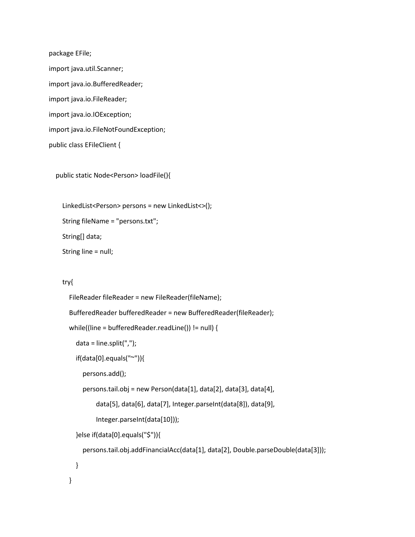package EFile; import java.util.Scanner; import java.io.BufferedReader; import java.io.FileReader; import java.io.IOException; import java.io.FileNotFoundException; public class EFileClient {

public static Node<Person> loadFile(){

 LinkedList<Person> persons = new LinkedList<>(); String fileName = "persons.txt"; String[] data; String line = null;

## try{

```
 FileReader fileReader = new FileReader(fileName);
 BufferedReader bufferedReader = new BufferedReader(fileReader);
 while((line = bufferedReader.readLine()) != null) {
   data = line.split(",");
   if(data[0].equals("~")){
     persons.add();
     persons.tail.obj = new Person(data[1], data[2], data[3], data[4], 
          data[5], data[6], data[7], Integer.parseInt(data[8]), data[9], 
          Integer.parseInt(data[10]));
   }else if(data[0].equals("$")){
     persons.tail.obj.addFinancialAcc(data[1], data[2], Double.parseDouble(data[3]));
   }
 }
```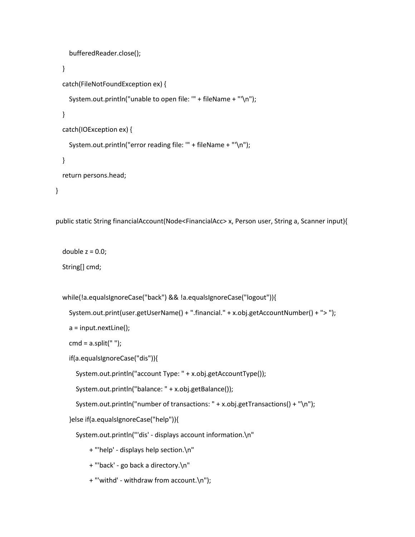```
 bufferedReader.close(); 
   }
   catch(FileNotFoundException ex) {
     System.out.println("unable to open file: '" + fileName + "'\n"); 
   }
   catch(IOException ex) {
     System.out.println("error reading file: '" + fileName + "'\n");
   }
   return persons.head;
 }
```

```
 public static String financialAccount(Node<FinancialAcc> x, Person user, String a, Scanner input){
```

```
double z = 0.0;
```
String[] cmd;

```
 while(!a.equalsIgnoreCase("back") && !a.equalsIgnoreCase("logout")){
```

```
 System.out.print(user.getUserName() + ".financial." + x.obj.getAccountNumber() + "> ");
```

```
 a = input.nextLine();
```

```
cmd = a.split("");
```
if(a.equalsIgnoreCase("dis")){

System.out.println("account Type: " + x.obj.getAccountType());

System.out.println("balance: " + x.obj.getBalance());

```
 System.out.println("number of transactions: " + x.obj.getTransactions() + "\n");
```
}else if(a.equalsIgnoreCase("help")){

System.out.println("'dis' - displays account information.\n"

+ "'help' - displays help section.\n"

- + "'back' go back a directory.\n"
- + "'withd' withdraw from account.\n");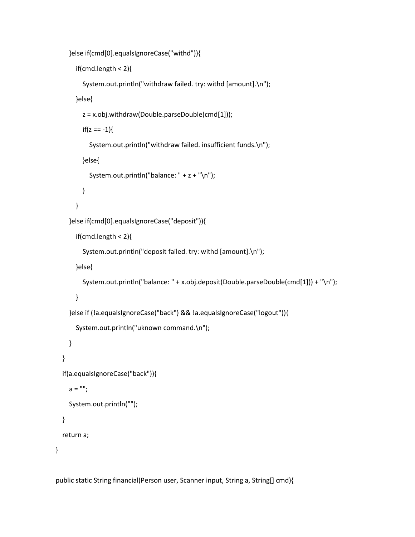```
 }else if(cmd[0].equalsIgnoreCase("withd")){
```

```
 if(cmd.length < 2){
```

```
 System.out.println("withdraw failed. try: withd [amount].\n");
```
}else{

```
 z = x.obj.withdraw(Double.parseDouble(cmd[1]));
```

```
if(z == -1){
```

```
 System.out.println("withdraw failed. insufficient funds.\n");
```
}else{

```
 System.out.println("balance: " + z + "\n");
```

```
 }
```
}

```
 }else if(cmd[0].equalsIgnoreCase("deposit")){
```

```
 if(cmd.length < 2){
```

```
 System.out.println("deposit failed. try: withd [amount].\n");
```
}else{

```
 System.out.println("balance: " + x.obj.deposit(Double.parseDouble(cmd[1])) + "\n");
```

```
 }
```

```
 }else if (!a.equalsIgnoreCase("back") && !a.equalsIgnoreCase("logout")){
```

```
 System.out.println("uknown command.\n");
```

```
 }
```

```
 if(a.equalsIgnoreCase("back")){
```

```
a = "";
```
}

```
 System.out.println("");
```
}

```
 return a;
```
}

public static String financial(Person user, Scanner input, String a, String[] cmd){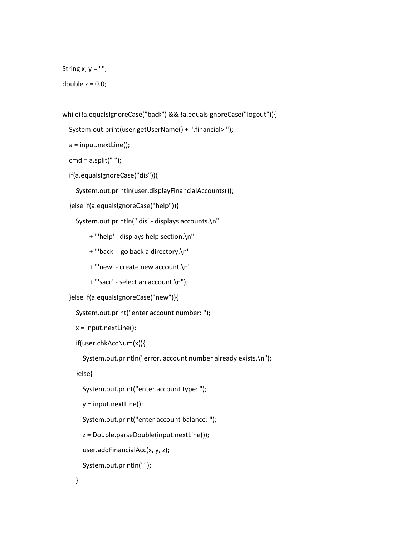```
String x, y ="";
```
double  $z = 0.0$ ;

```
 while(!a.equalsIgnoreCase("back") && !a.equalsIgnoreCase("logout")){
```

```
 System.out.print(user.getUserName() + ".financial> ");
```
a = input.nextLine();

cmd =  $a.split("")$ ;

```
 if(a.equalsIgnoreCase("dis")){
```
System.out.println(user.displayFinancialAccounts());

```
 }else if(a.equalsIgnoreCase("help")){
```

```
 System.out.println("'dis' - displays accounts.\n"
```
- + "'help' displays help section.\n"
- + "'back' go back a directory.\n"
- + "'new' create new account.\n"
- + "'sacc' select an account.\n");

```
 }else if(a.equalsIgnoreCase("new")){
```

```
 System.out.print("enter account number: ");
```

```
x = input.nextLine();
```

```
 if(user.chkAccNum(x)){
```
System.out.println("error, account number already exists.\n");

}else{

```
 System.out.print("enter account type: ");
```

```
 y = input.nextLine();
```
System.out.print("enter account balance: ");

z = Double.parseDouble(input.nextLine());

```
 user.addFinancialAcc(x, y, z);
```

```
 System.out.println("");
```

```
 }
```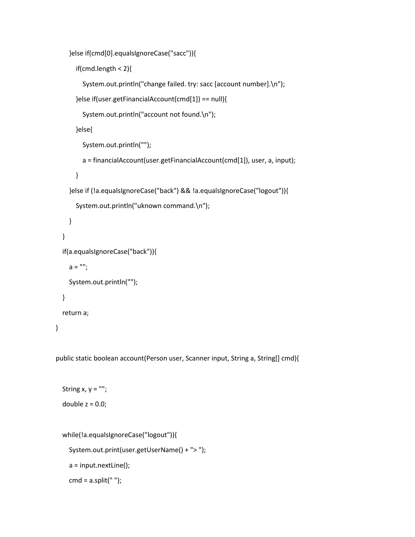```
 }else if(cmd[0].equalsIgnoreCase("sacc")){
```

```
 if(cmd.length < 2){
```

```
 System.out.println("change failed. try: sacc [account number].\n");
```

```
 }else if(user.getFinancialAccount(cmd[1]) == null){
```

```
 System.out.println("account not found.\n");
```
}else{

```
 System.out.println("");
```
a = financialAccount(user.getFinancialAccount(cmd[1]), user, a, input);

```
 }
```

```
 }else if (!a.equalsIgnoreCase("back") && !a.equalsIgnoreCase("logout")){
```

```
 System.out.println("uknown command.\n");
```

```
 }
 }
```

```
 if(a.equalsIgnoreCase("back")){
```

```
a = "";
```

```
 System.out.println("");
```
## }

```
 return a;
```

```
 }
```
public static boolean account(Person user, Scanner input, String a, String[] cmd){

```
String x, y ="";
double z = 0.0;
```

```
 while(!a.equalsIgnoreCase("logout")){
```

```
 System.out.print(user.getUserName() + "> ");
```

```
 a = input.nextLine();
```

```
cmd = a.split("");
```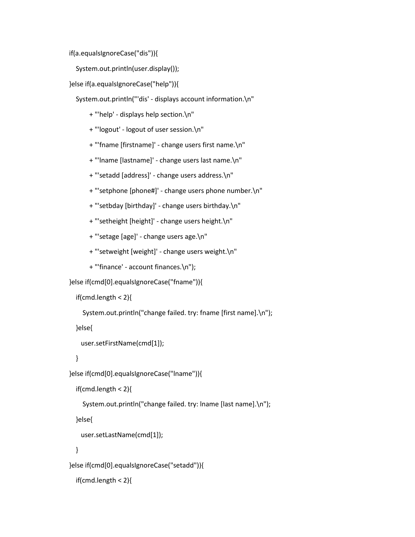if(a.equalsIgnoreCase("dis")){

System.out.println(user.display());

}else if(a.equalsIgnoreCase("help")){

System.out.println("'dis' - displays account information.\n"

- + "'help' displays help section.\n"
- + "'logout' logout of user session.\n"
- + "'fname [firstname]' change users first name.\n"
- + "'lname [lastname]' change users last name.\n"
- + "'setadd [address]' change users address.\n"
- + "'setphone [phone#]' change users phone number.\n"
- + "'setbday [birthday]' change users birthday.\n"
- + "'setheight [height]' change users height.\n"
- + "'setage [age]' change users age.\n"
- + "'setweight [weight]' change users weight.\n"
- + "'finance' account finances.\n");

}else if(cmd[0].equalsIgnoreCase("fname")){

```
 if(cmd.length < 2){
```
System.out.println("change failed. try: fname [first name].\n");

}else{

```
 user.setFirstName(cmd[1]);
```
}

```
 }else if(cmd[0].equalsIgnoreCase("lname")){
```

```
 if(cmd.length < 2){
```
System.out.println("change failed. try: lname [last name].\n");

}else{

```
 user.setLastName(cmd[1]);
```
}

}else if(cmd[0].equalsIgnoreCase("setadd")){

```
 if(cmd.length < 2){
```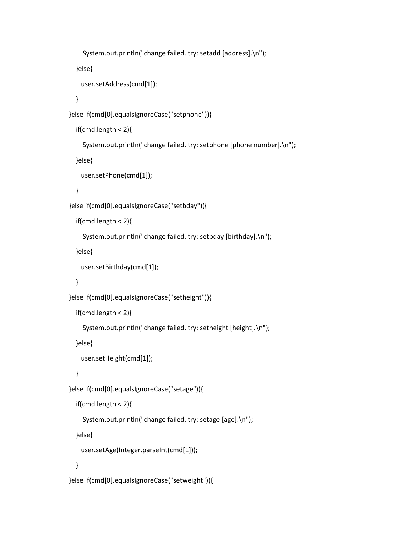```
 System.out.println("change failed. try: setadd [address].\n");
   }else{
     user.setAddress(cmd[1]); 
   }
 }else if(cmd[0].equalsIgnoreCase("setphone")){
   if(cmd.length < 2){
     System.out.println("change failed. try: setphone [phone number].\n");
   }else{
     user.setPhone(cmd[1]); 
   }
 }else if(cmd[0].equalsIgnoreCase("setbday")){
   if(cmd.length < 2){
     System.out.println("change failed. try: setbday [birthday].\n");
   }else{
     user.setBirthday(cmd[1]); 
   }
 }else if(cmd[0].equalsIgnoreCase("setheight")){
   if(cmd.length < 2){
     System.out.println("change failed. try: setheight [height].\n");
   }else{
     user.setHeight(cmd[1]);
   }
 }else if(cmd[0].equalsIgnoreCase("setage")){
   if(cmd.length < 2){
     System.out.println("change failed. try: setage [age].\n");
   }else{
     user.setAge(Integer.parseInt(cmd[1])); 
   }
```

```
 }else if(cmd[0].equalsIgnoreCase("setweight")){
```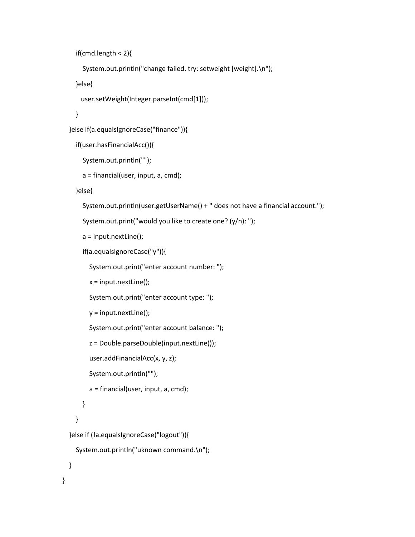```
 if(cmd.length < 2){
```

```
 System.out.println("change failed. try: setweight [weight].\n");
```
}else{

```
 user.setWeight(Integer.parseInt(cmd[1]));
```
}

```
 }else if(a.equalsIgnoreCase("finance")){
```

```
 if(user.hasFinancialAcc()){
```

```
 System.out.println("");
```

```
 a = financial(user, input, a, cmd);
```
}else{

```
 System.out.println(user.getUserName() + " does not have a financial account.");
```

```
 System.out.print("would you like to create one? (y/n): ");
```
a = input.nextLine();

```
 if(a.equalsIgnoreCase("y")){
```
System.out.print("enter account number: ");

 $x = input.nextLine()$ ;

System.out.print("enter account type: ");

```
 y = input.nextLine();
```
System.out.print("enter account balance: ");

z = Double.parseDouble(input.nextLine());

```
 user.addFinancialAcc(x, y, z);
```
System.out.println("");

a = financial(user, input, a, cmd);

```
 }
 }
```
}else if (!a.equalsIgnoreCase("logout")){

```
 System.out.println("uknown command.\n");
```
}

}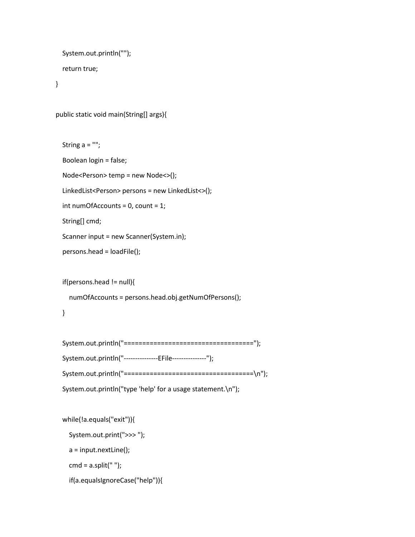```
 System.out.println("");
 return true;
```
}

```
 public static void main(String[] args){
```

```
 String a = "";
 Boolean login = false;
 Node<Person> temp = new Node<>();
 LinkedList<Person> persons = new LinkedList<>();
 int numOfAccounts = 0, count = 1;
 String[] cmd;
 Scanner input = new Scanner(System.in);
 persons.head = loadFile();
```
if(persons.head != null){

numOfAccounts = persons.head.obj.getNumOfPersons();

```
 }
```

```
 System.out.println("===================================");
 System.out.println("---------------EFile---------------");
 System.out.println("===================================\n"); 
 System.out.println("type 'help' for a usage statement.\n");
```
while(!a.equals("exit")){

System.out.print(">>> ");

a = input.nextLine();

cmd =  $a.split("")$ ;

if(a.equalsIgnoreCase("help")){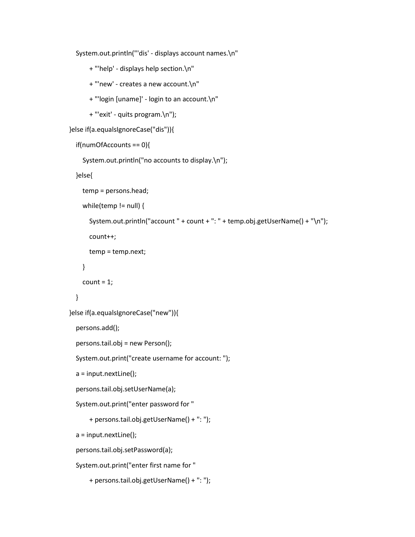System.out.println("'dis' - displays account names.\n"

- + "'help' displays help section.\n"
- + "'new' creates a new account.\n"
- + "'login [uname]' login to an account.\n"
- + "'exit' quits program.\n");

```
 }else if(a.equalsIgnoreCase("dis")){
```

```
 if(numOfAccounts == 0){
```
System.out.println("no accounts to display.\n");

}else{

```
 temp = persons.head;
```
while(temp != null) {

```
 System.out.println("account " + count + ": " + temp.obj.getUserName() + "\n");
```
count++;

temp = temp.next;

```
 }
```
 $count = 1;$ 

## }

}else if(a.equalsIgnoreCase("new")){

```
 persons.add();
```
persons.tail.obj = new Person();

System.out.print("create username for account: ");

a = input.nextLine();

```
 persons.tail.obj.setUserName(a);
```

```
 System.out.print("enter password for "
```

```
 + persons.tail.obj.getUserName() + ": ");
```

```
 a = input.nextLine();
```

```
 persons.tail.obj.setPassword(a);
```

```
 System.out.print("enter first name for "
```

```
 + persons.tail.obj.getUserName() + ": ");
```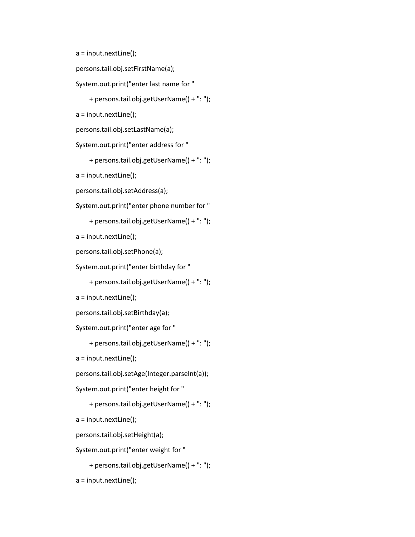```
 a = input.nextLine();
```

```
 persons.tail.obj.setFirstName(a);
```

```
 System.out.print("enter last name for "
```
+ persons.tail.obj.getUserName() + ": ");

a = input.nextLine();

```
 persons.tail.obj.setLastName(a);
```
System.out.print("enter address for "

+ persons.tail.obj.getUserName() + ": ");

a = input.nextLine();

persons.tail.obj.setAddress(a);

System.out.print("enter phone number for "

```
 + persons.tail.obj.getUserName() + ": ");
```
a = input.nextLine();

```
 persons.tail.obj.setPhone(a);
```
System.out.print("enter birthday for "

```
 + persons.tail.obj.getUserName() + ": ");
```
a = input.nextLine();

persons.tail.obj.setBirthday(a);

System.out.print("enter age for "

+ persons.tail.obj.getUserName() + ": ");

a = input.nextLine();

persons.tail.obj.setAge(Integer.parseInt(a));

System.out.print("enter height for "

+ persons.tail.obj.getUserName() + ": ");

a = input.nextLine();

persons.tail.obj.setHeight(a);

System.out.print("enter weight for "

```
 + persons.tail.obj.getUserName() + ": ");
```
a = input.nextLine();